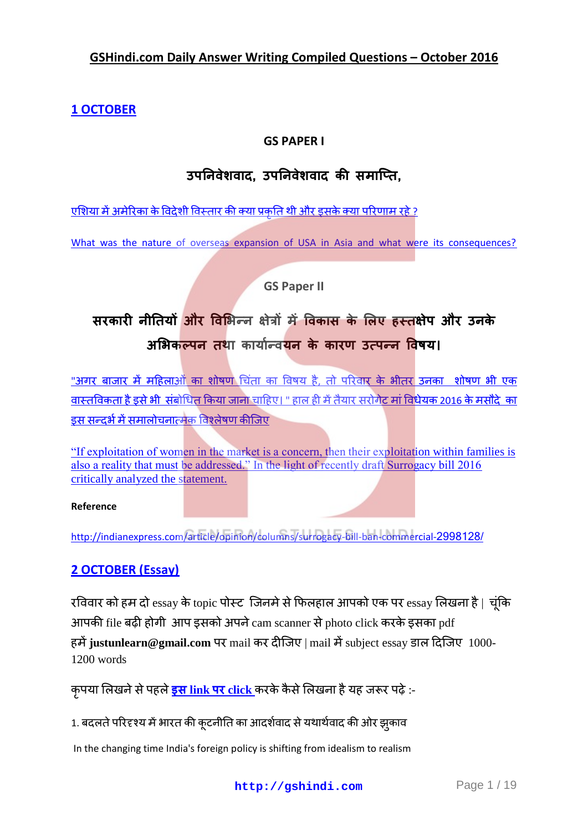#### **GSHindi.com Daily Answer Writing Compiled Questions – October 2016**

## **[1 OCTOBER](http://gshindi.com/category/mains-answer-writing/30-september-mains-answer-writing)**

## **GS PAPER I**

## **उऩननवेशवाद, उऩननवेशवाद की समाप्ति,**

<u>एशिया में अमेरिका के विदेशी विस्तार की क्या प्रकृति थी और इसके क्या परिणाम रहे ?</u>

[What was the nature of overseas expansion of USA in Asia and what were its consequences?](http://gshindi.com/category/gs-paper-1/overseas-expansion-of-usa-in-india)

**GS Paper II**

# **सरकारी नीनियों और ववभिन्न ऺेत्रों में ववकास के भऱए हस्िऺेऩ और उनके**  अभिकल्पन तथा कार्यान्व**यन के कारण उत्पन्न विषय।**

<u>"अगर बाजार में महिलाओं का शोषण चिंता का विषय है, तो परिवार के भीतर उनका शोषण भी एक</u> वास्तविकता है इसे भी संबोधित किया जाना चाहिए। " हाल ही में तैयार सरोगेट मां विधेयक [2016](http://gshindi.com/category/gs-paper-2/draft-surrogacy-bill-2016) के मसौदे का इससन्दर्भ में समालोचनात्मक विश्लेषण कीजिए

["If exploitation of women in the market is a concern, then their exploitation within families is](http://gshindi.com/category/gs-paper-2/draft-surrogacy-bill-2016)  [also a reality that must be addressed." In the light of recently draft Surrogacy bill 2016](http://gshindi.com/category/gs-paper-2/draft-surrogacy-bill-2016)  [critically analyzed the statement.](http://gshindi.com/category/gs-paper-2/draft-surrogacy-bill-2016)

#### **Reference**

[http://indianexpress.com/article/opinion/columns/surrogacy-bill-ban-commercial-](http://indianexpress.com/article/opinion/columns/surrogacy-bill-ban-commercial-2998128/)2998128/

## **[2 OCTOBER \(Essay\)](http://gshindi.com/category/essay/essay-writing-2-october)**

रविवार को हम दो  $\text{essay}$  के topic पोस्ट जिनमे से फिलहाल आपको एक पर  $\text{essay}$  लिखना है | चूंकि आपकी file बढी होगी आप इसको अपने  $\rm cam$  scanner से photo click करके इसका pdf हमें **justunlearn@gmail.com** पर mail कर दीजिए | mail में subject essay डाल दिजिए 1000-1200 words

**इस link पर [click](http://gshindi.com/category/essay/naibandha-kaa-darasana-philosophy-of-essay)** :-

1. बदलते परिदृश्य में भारत की कूटनीति का आदर्शवाद से यथार्थवाद की ओर झुकाव

In the changing time India's foreign policy is shifting from idealism to realism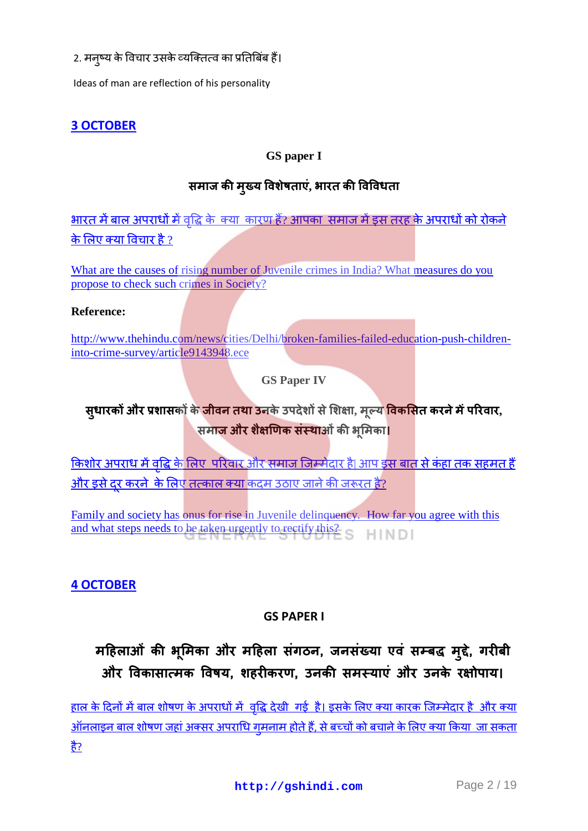2. मन्ष्य के विचार उसके व्यक्तित्व का प्रतिबिंब हैं।

Ideas of man are reflection of his personality

#### **[3 OCTOBER](http://gshindi.com/node/1265)**

#### **GS paper I**

## समाज की मुख्य विशेषताएं, भारत की विविधता

<u>भारत में बाल अपराधों में वृद्धि के क्या कारण हैं? आपका समाज में इस तरह के अपराधों को रोकने </u> के लिए क्या विचार है ?

[What are the causes of rising number of Juvenile crimes in India? What measures do you](http://gshindi.com/category/gs-paper-1/causes-of-rising-number-of-juvenile-crimes)  [propose to check such crimes in Society?](http://gshindi.com/category/gs-paper-1/causes-of-rising-number-of-juvenile-crimes)

#### **Reference:**

[http://www.thehindu.com/news/cities/Delhi/broken-families-failed-education-push-children](http://www.thehindu.com/news/cities/Delhi/broken-families-failed-education-push-children-into-crime-survey/article9143948.ece)[into-crime-survey/article9143948.ece](http://www.thehindu.com/news/cities/Delhi/broken-families-failed-education-push-children-into-crime-survey/article9143948.ece)

**GS Paper IV**

## स्**धारकों और प्रशासकों के जीवन तथा उ**नके उपदेशों से शिक्षा, मूल्य <mark>विकसित करने में परिवार,</mark> समाज और शैक्षणिक संस्थाओं की भूमिका।

<u>किशोर अपराध में वृद्धि के लिए परिवार और समाज जिम्मेदार है| आप इस बात से कंहा तक सहमत हैं</u> और इसे दर करने के लिए तत्काल क्या कदम उठाए जाने की जरूरत है?

[Family and society has onus for rise in Juvenile delinquency. How far you agree with this](http://gshindi.com/category/gs-paper-4/society-family-how-it-linked-to-juvenile-delinquency)  [and what steps needs to be taken urgently to rectify this?](http://gshindi.com/category/gs-paper-4/society-family-how-it-linked-to-juvenile-delinquency) **HINDI** 

#### **4 [OCTOBER](http://gshindi.com/category/mains-answer-writing/4-october-mains-answer-writing)**

#### **GS PAPER I**

# **महहऱाओॊ की ि ू भमका और महहऱा सगॊ ठन, जनसॊख्या एवॊ सम्बद्ध म ुद्द, े गरीबी और ववकासात्मक ववषय, शहरीकरण, उनकी समस्याएॊ और उनके रऺोऩाय।**

<u>हाल के दिनों में बाल शोषण के अपराधों में वृद्धि देखी [गई](http://gshindi.com/category/gs-paper-1/online-child-abuse) है। इसके लिए क्या कारक जिम्मेदार है और क्या</u> <u>आँनलाइन बाल शोषण जहां अक्सर अपराधि गमनाम होते हैं, से बच्चों को बचाने के लिए क्या किया जा सकता</u> है?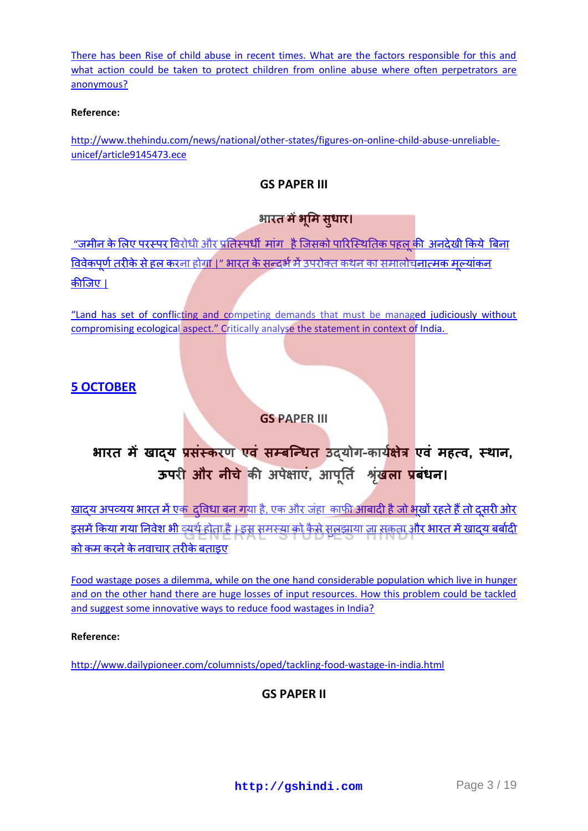[There has been Rise of child abuse in recent times. What are the factors responsible for this and](http://gshindi.com/category/gs-paper-1/online-child-abuse)  what action could be taken to protect children from online abuse where often perpetrators are [anonymous?](http://gshindi.com/category/gs-paper-1/online-child-abuse)

#### **Reference:**

[http://www.thehindu.com/news/national/other-states/figures-on-online-child-abuse-unreliable](http://www.thehindu.com/news/national/other-states/figures-on-online-child-abuse-unreliable-unicef/article9145473.ece)[unicef/article9145473.ece](http://www.thehindu.com/news/national/other-states/figures-on-online-child-abuse-unreliable-unicef/article9145473.ece)

#### **GS PAPER III**

## भारत में भूमि सुधार।

<u>["](http://gshindi.com/category/gs-paper-3/ecological-aspect-of-land)जमीन के लिए परस्पर विरोधी और प्रतिस्पर्धी मांग है जिसको पारिस्थितिक पहल की अनदेखी किये बिना</u> <u>विवेकपूर्ण तरीके से हल करना होगा |" भारत के सन्दर्भ में उपरोक्त कथन का समालोचनात्मक मुल्यांकन</u> कीजिए।

"Land has set of conflicting and competing demands that must be managed judiciously without [compromising ecological aspect." Critically analyse](http://gshindi.com/category/gs-paper-3/ecological-aspect-of-land) the statement in context of India.

#### **5 [OCTOBER](http://gshindi.com/category/mains-answer-writing/5-october-mains-answer-writing)**

#### **GS PAPER III**

# **िारि में खाद्य प्रसॊस्करण एवॊ सम्बप्न्धि उद्योग-कायाऺेत्र एवॊ महत्व, स्थान, ऊपरी और नीचे** की अपेक्षाए, आपूर्ति श्रृ**खला प्रबधन।**

<u>खाद्य अपव्यय भारत में एक दुविधा बन गया है, एक और जंहा काफी आबादी है जो भूखों रहते हैं तो दूसरी ओर</u> <u>इसमें किया गया निवेश भी व्यर्थ होता है । इस समस्या को कैसे सलझाया जा सकता और भारत में खादय बर्बादी </u> कोकम करने के नवाचार तरीके बताइए

[Food wastage poses a dilemma, while on the one hand considerable population which live in hunger](http://gshindi.com/category/gs-paper-3/food-wastage-in-india)  [and on the other hand there are huge losses of input resources. How this problem could be tackled](http://gshindi.com/category/gs-paper-3/food-wastage-in-india)  [and suggest some innovative ways to reduce food wastages in India?](http://gshindi.com/category/gs-paper-3/food-wastage-in-india)

#### **Reference:**

<http://www.dailypioneer.com/columnists/oped/tackling-food-wastage-in-india.html>

#### **GS PAPER II**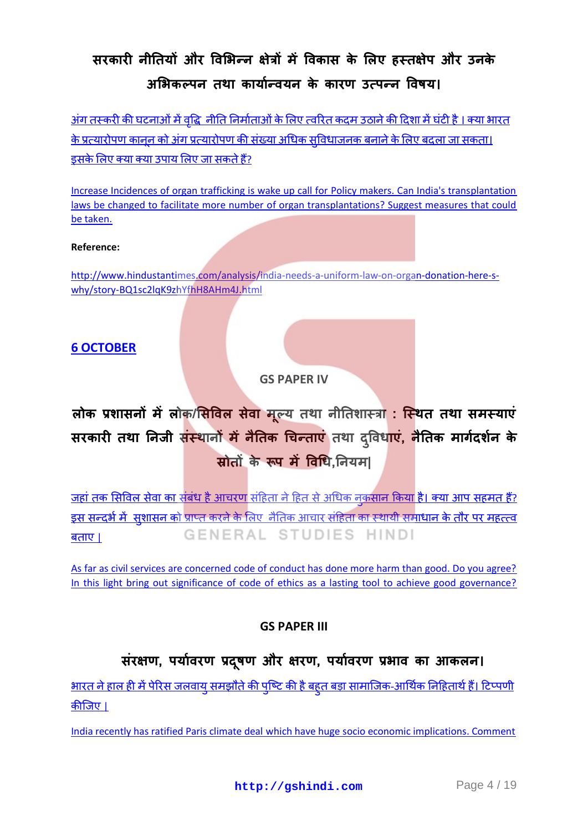## **सरकारी नीनियों और ववभिन्न ऺेत्रों में ववकास के भऱए हस्िऺेऩ और उनके** अभिकल्पन तथा कार्यान्वयन के कारण उत्पन्न विषय।

<u>अंग तस्करी की घटनाओं में वृद्धि नीति निर्माताओं के लिए त्वरित कदम उठाने की दिशा में घंटी है । क्या भारत</u> <u>के प्रत्यारोपण कानन को अंग प्रत्यारोपण की संख्या अधिक सविधाजनक बनाने के लिए बदला जा सकता।</u> इसके लिए क्या क्या उपाय लिए जा सकते हैं?

[Increase Incidences of organ trafficking is wake up call for Policy makers. Can India's transplantation](http://gshindi.com/category/gs-paper-2/organ-trafficikng-in-india)  laws be [changed to facilitate more number of organ transplantations? Suggest measures that could](http://gshindi.com/category/gs-paper-2/organ-trafficikng-in-india)  [be taken.](http://gshindi.com/category/gs-paper-2/organ-trafficikng-in-india)

#### **Reference:**

[http://www.hindustantimes.com/analysis/india-needs-a-uniform-law-on-organ-donation-here-s](http://www.hindustantimes.com/analysis/india-needs-a-uniform-law-on-organ-donation-here-s-why/story-BQ1sc2lqK9zhYfhH8AHm4J.html)[why/story-BQ1sc2lqK9zhYfhH8AHm4J.html](http://www.hindustantimes.com/analysis/india-needs-a-uniform-law-on-organ-donation-here-s-why/story-BQ1sc2lqK9zhYfhH8AHm4J.html)

#### **6 [OCTOBER](http://gshindi.com/category/mains-answer-writing/6-october-mains-answer-writing)**

#### **GS PAPER IV**

# **ऱोक प्रशासनों मेंऱोक/भसववऱ सेवा म ू ल्य िथा नीनिशास्त्रा : प्स्थि िथा समस्याएॊ सरकारी िथा ननजी सॊस्थानों मेंनैनिक चचन्िाएॊ िथा दव ु वधाए, ॊ नैनिक मागादशान के स्रोिों के रूऩ में ववचध,ननयम|**

<u>जहां तक सिविल सेवा का संबंध है आचरण संहिता ने हित से अधिक नुकसान किया है। क्या आप सहमत हैं?</u> <u>इस सन्दर्भ में सशासन को प्राप्त करने के लिए नैतिक आचार संहिता का स्थायी समाधान के तौर पर महत्त्व</u> GENERAL STUDIES HINDI  $\overline{a}$ ताए |

[As far as civil services are concerned code of conduct has done more harm than good. Do you agree?](http://gshindi.com/category/gs-paper-4/good-governance-and-code-of-ethics)  [In this light bring out significance of code of ethics as a lasting tool to achieve good governance?](http://gshindi.com/category/gs-paper-4/good-governance-and-code-of-ethics)

#### **GS PAPER III**

## **सॊरऺण, ऩयाावरण प्रदष ू ण और ऺरण, ऩयाावरण प्रिाव का आकऱन।**

<u>भारत ने हाल ही में पेरिस जलवाय समझौते की पष्टि की है बहुत बड़ा सामाजिक-आर्थिक निहितार्थ हैं। टिप्पणी</u> [कीष्जए](http://gshindi.com/category/gs-paper-3/socio-economic-implications-of-paris-climate-deal) |

[India recently has ratified Paris climate deal which have huge socio economic implications. Comment](http://gshindi.com/category/gs-paper-3/socio-economic-implications-of-paris-climate-deal)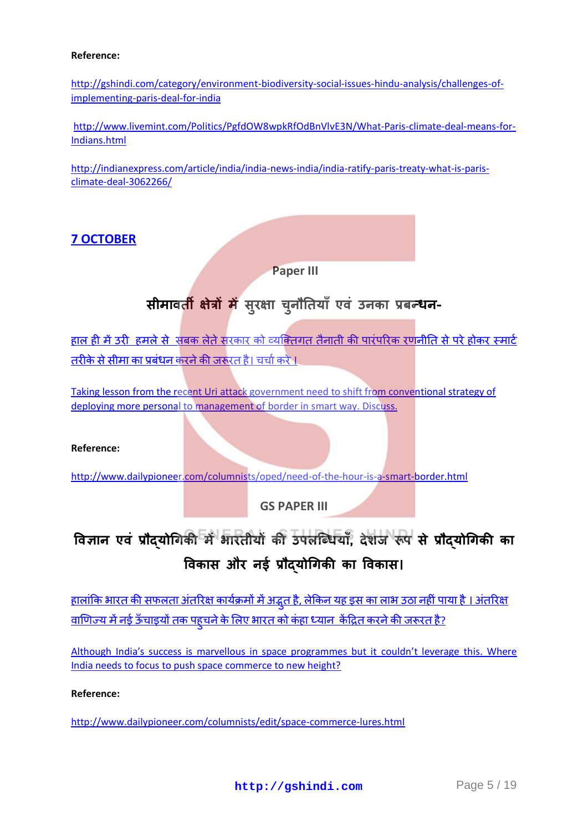#### **Reference:**

[http://gshindi.com/category/environment-biodiversity-social-issues-hindu-analysis/challenges-of](http://gshindi.com/category/environment-biodiversity-social-issues-hindu-analysis/challenges-of-implementing-paris-deal-for-india)[implementing-paris-deal-for-india](http://gshindi.com/category/environment-biodiversity-social-issues-hindu-analysis/challenges-of-implementing-paris-deal-for-india)

[http://www.livemint.com/Politics/PgfdOW8wpkRfOdBnVlvE3N/What-Paris-climate-deal-means-for-](http://www.livemint.com/Politics/PgfdOW8wpkRfOdBnVlvE3N/What-Paris-climate-deal-means-for-Indians.html)[Indians.html](http://www.livemint.com/Politics/PgfdOW8wpkRfOdBnVlvE3N/What-Paris-climate-deal-means-for-Indians.html)

[http://indianexpress.com/article/india/india-news-india/india-ratify-paris-treaty-what-is-paris](http://indianexpress.com/article/india/india-news-india/india-ratify-paris-treaty-what-is-paris-climate-deal-3062266/)[climate-deal-3062266/](http://indianexpress.com/article/india/india-news-india/india-ratify-paris-treaty-what-is-paris-climate-deal-3062266/)

#### **7 [OCTOBER](http://gshindi.com/category/mains-answer-writing/7-october-mains-answer-writing)**

**Paper III**

# **सीमावती क्षेत्रों में** सुरक्षा चुनौतियाँ एवं उनका प्रबन्धन-

<u>हाल ही में उरी हमले से सबक लेते सरकार को व्यक्तिगत तैनाती की पारंपरिक रणनीति से परे होकर स्मार्ट</u> तरीकेसे सीमा का प्रबंधन करने की जरूरत है। चर्चा करें ।

[Taking lesson from the recent Uri attack government need to shift from conventional strategy of](http://gshindi.com/category/gs-paper-3/smart-border-after-uri-attack)  [deploying more personal to management of border in](http://gshindi.com/category/gs-paper-3/smart-border-after-uri-attack) smart way. Discuss.

#### **Reference:**

<http://www.dailypioneer.com/columnists/oped/need-of-the-hour-is-a-smart-border.html>

**GS PAPER III**

# **ववऻान एवॊ प्रौद्योचगकी मेंिारिीयों की उऩऱप्धधयाॉ, देशज रूऩ से प्रौद्योचगकी का ववकास और नइा प्रौद्योचगकी का ववकास।**

<u>हालांकिभारत की सफलता अंतरिक्ष कार्यक्रमों में अद्भुत है, लेकिन यह इस का लाभ उठा नहीं पाया है । अंतरिक्ष</u> <u>वाणिज्य में नई ऊँचाइयों तक पहचने के लिए भारत को कंहा ध्यान केंद्रित करने की जरूरत है?</u>

[Although India's success is marvellous in space programmes but it couldn't leverage this. Where](http://gshindi.com/category/gs-paper-3/india-space-programmes)  [India needs to focus to push space commerce to new height?](http://gshindi.com/category/gs-paper-3/india-space-programmes)

#### **Reference:**

<http://www.dailypioneer.com/columnists/edit/space-commerce-lures.html>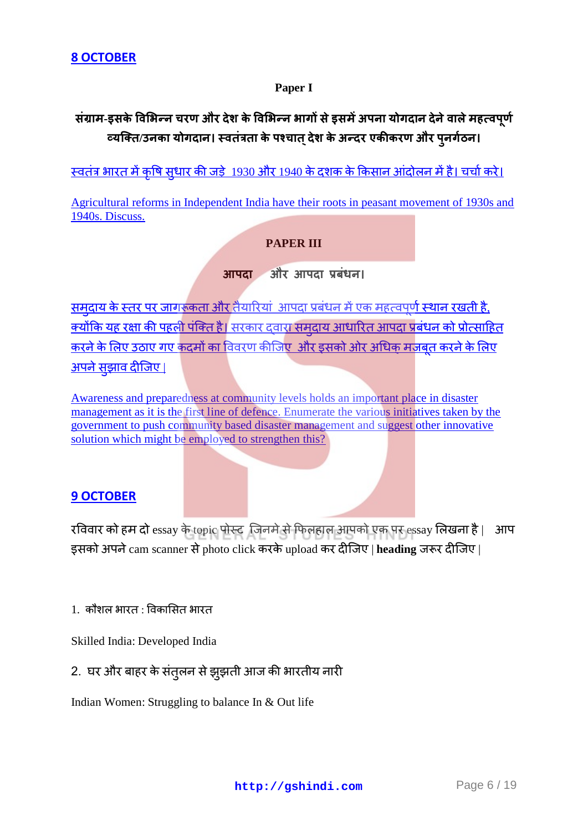#### **Paper I**

## संग्राम-इसके विभिन्न चरण और देश के विभिन्न भागों से इसमें अपना योगदान देने वाले महत्वपूर्ण  **य / य प च र र और प**

स्वतंत्र भारत में कृषि सधार की जड़े [1930](http://gshindi.com/category/gs-paper-1/agricultural-reforms-in-independent-india-and-link-with-peasant-struggle) और 1940 के दशक के किसान आंदोलन में है। चर्चा करे।

[Agricultural reforms in Independent India have their roots in peasant movement of 1930s and](http://gshindi.com/category/gs-paper-1/agricultural-reforms-in-independent-india-and-link-with-peasant-struggle)  [1940s. Discuss.](http://gshindi.com/category/gs-paper-1/agricultural-reforms-in-independent-india-and-link-with-peasant-struggle)

#### **PAPER III**

**आपदा** और आपदा प्रबंधन।

समदाय के स्तर पर जागरूकता और तैयारियां आपदा प्रबंधन में एक महत्वपूर्ण स्थान रखती है. <u>क्योंकियह रक्षा की पहली पंक्ति है। सरकार दवारा समदाय आधारित आपदा प्रबंधन को प्रोत्साहित</u> करने के लिए उठाए गए कदमों का विवरण कीजिए और इसको ओर अधिक मजबत करने के लिए <u>अपनेसझाव दीजिए ।</u>

[Awareness and preparedness at community levels holds an important place in disaster](http://gshindi.com/category/gs-paper-3/various-initiatives-taken-by-the-government-to-push-community-based-disaster-management)  [management as it is the first line of defence. Enumerate the various initiatives taken by the](http://gshindi.com/category/gs-paper-3/various-initiatives-taken-by-the-government-to-push-community-based-disaster-management)  [government to push community based disaster management and suggest other innovative](http://gshindi.com/category/gs-paper-3/various-initiatives-taken-by-the-government-to-push-community-based-disaster-management)  [solution which might be employed to strengthen this?](http://gshindi.com/category/gs-paper-3/various-initiatives-taken-by-the-government-to-push-community-based-disaster-management)

#### **9 [OCTOBER](http://gshindi.com/node/1301)**

रविवार को हम दो essay के topic पोस्ट जिनमे से फिलहाल आपको एक पर essay लिखना है। आप इसको अपने cam scanner से photo click करके upload कर दीजिए | heading जरूर दीजिए |

 $1.$  कौशल भारत : विकासित भारत

Skilled India: Developed India

2. घर और बाहर के संतुलन से झुझती आज की भारतीय नारी

Indian Women: Struggling to balance In & Out life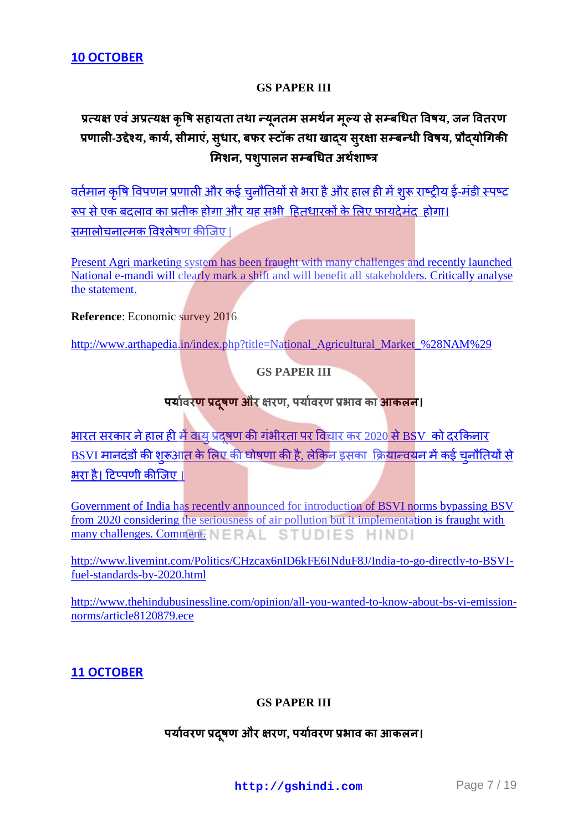#### **GS PAPER III**

## प्रत्यक्ष एवं अप्रत्यक्ष कृषि सहायता तथा न्यूनतम समर्थन मूल्य से सम्बधित विषय, जन वितरण  **ऱ - य, य , स म , स र, बफर य स र स ब य, य मिशन, पशुपालन सम्बधित अर्थशाष्त्र**

वर्तमान कृषि विपणन प्रणाली और कई चुनौतियों से भरा है और हाल ही में शुरू राष्ट्रीय ई-मंडी स्पष्ट रूप से एक बदलाव का प्रतीक होगा और यह सभी हितधारकों के लिए फायदेमंद होगा। समालोचनात्मकविश्लेषण कीजिए ।

[Present Agri marketing system has been fraught with many challenges and recently launched](http://gshindi.com/category/gs-paper-3/agriculture-marketing-system-and-national-e-mandi)  [National e-mandi will clearly mark a shift and will benefit all](http://gshindi.com/category/gs-paper-3/agriculture-marketing-system-and-national-e-mandi) stakeholders. Critically analyse [the statement.](http://gshindi.com/category/gs-paper-3/agriculture-marketing-system-and-national-e-mandi)

**Reference**: Economic survey 2016

[http://www.arthapedia.in/index.php?title=National\\_Agricultural\\_Market\\_%28NAM%29](http://www.arthapedia.in/index.php?title=National_Agricultural_Market_%28NAM%29)

#### **GS PAPER III**

#### पर्यावरण प्रदुषण और क्षरण, पर्यावरण प्रभाव का आकलन।

<u>भारत सरकार ने हाल ही में वाय प्रदषण की गंभीरता पर विचार कर 2020 से BSV को दरकिनार</u> BSVI मानदंडों की शरूआत के लिए की घोषणा की है. लेकिन इसका क्रियान्वयन में कई चनौतियों से भराहै। टिप्पणी कीजिए।

[Government of India has recently announced for introduction of BSVI norms bypassing BSV](http://gshindi.com/category/gs-paper-3/challenges-of-moving-bsv-to-bsvi-directly)  [from 2020 considering the seriousness of air pollution but it implementation is fraught with](http://gshindi.com/category/gs-paper-3/challenges-of-moving-bsv-to-bsvi-directly)  [many challenges. Comment.](http://gshindi.com/category/gs-paper-3/challenges-of-moving-bsv-to-bsvi-directly) ERAL STUDIES HIND

[http://www.livemint.com/Politics/CHzcax6nID6kFE6INduF8J/India-to-go-directly-to-BSVI](http://www.livemint.com/Politics/CHzcax6nID6kFE6INduF8J/India-to-go-directly-to-BSVI-fuel-standards-by-2020.html)[fuel-standards-by-2020.html](http://www.livemint.com/Politics/CHzcax6nID6kFE6INduF8J/India-to-go-directly-to-BSVI-fuel-standards-by-2020.html)

[http://www.thehindubusinessline.com/opinion/all-you-wanted-to-know-about-bs-vi-emission](http://www.thehindubusinessline.com/opinion/all-you-wanted-to-know-about-bs-vi-emission-norms/article8120879.ece)[norms/article8120879.ece](http://www.thehindubusinessline.com/opinion/all-you-wanted-to-know-about-bs-vi-emission-norms/article8120879.ece)

#### **11 [OCTOBER](http://gshindi.com/node/1312)**

#### **GS PAPER III**

## पर्यावरण प्रदुषण और क्षरण, पर्यावरण प्रभाव का आकलन।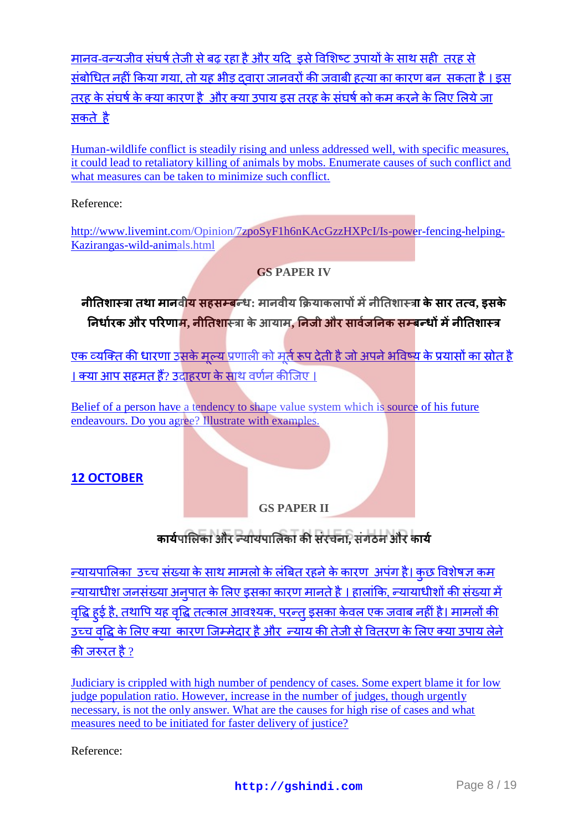मानव-वन्यजीव संघर्ष तेजी से बढ़ रहा है और यदि 'इसे विशिष्ट उपायों के साथ सही' तरह से संबोधित नहीं किया गया, तो यह भीड़ दवारा जानवरों की जवाबी हत्या का कारण बन, सकता है । इस तरह के संघर्ष के क्या कारण है, और क्या उपाय इस तरह के संघर्ष को कम करने के लिए लिये जा सकतेहै

[Human-wildlife conflict is steadily rising and unless addressed well, with specific measures,](http://gshindi.com/category/gs-paper-3/human-wildlife-conflict)  [it could lead to retaliatory killing of animals by mobs. Enumerate causes of such conflict and](http://gshindi.com/category/gs-paper-3/human-wildlife-conflict)  [what measures can be taken to minimize such conflict.](http://gshindi.com/category/gs-paper-3/human-wildlife-conflict)

#### Reference:

[http://www.livemint.com/Opinion/7zpoSyF1h6nKAcGzzHXPcI/Is-power-fencing-helping-](http://www.livemint.com/Opinion/7zpoSyF1h6nKAcGzzHXPcI/Is-power-fencing-helping-Kazirangas-wild-animals.html)[Kazirangas-wild-animals.html](http://www.livemint.com/Opinion/7zpoSyF1h6nKAcGzzHXPcI/Is-power-fencing-helping-Kazirangas-wild-animals.html)

#### **GS PAPER IV**

 **नीतिशास्त्रा तथा मानवी<mark>य सहसम्ब</mark>न्धः मानवीय क्रियाकलापों में नीतिशास्त्रा के सार तत्व, इसके निर्धारक और परिणाम, नीतिशा**स्त्रा के आयाम, निजी और सार्वजनिक सम्बन्धों में नीतिशास्त्र

एकव्यक्ति की धारणा उसके मल्य प्रणाली को मर्त रूप देती है जो अपने भविष्य के प्रयासों का स्रोत है । क्या आप सहमत हैं[?](http://gshindi.com/category/gs-paper-4/belief-and-how-it-affects-values) उदाहरण के साथ वर्णन कीजिए ।

Belief of a person have a tendency to shape value system which is source of his future [endeavours. Do you agree? Illustrate with examples.](http://gshindi.com/category/gs-paper-4/belief-and-how-it-affects-values)

## **12 [OCTOBER](http://gshindi.com/node/1317)**

#### **GS PAPER II**

## कार्यपालिका और न्यायपालिका की संरचना, संगठन और कार्य

<u>न्यायपालिका उच्च संख्या के साथ मामलो के लंबित रहने के कारण अपंग है। कछ विशेषज्ञ कम</u> न्यायाधीशजनसंख्या अनपात के लिए इसका कारण मानते है । हालांकि, न्यायाधीशों की संख्या में <u>वद्धि हई है, तथापि यह वद्धि तत्काल आवश्यक, परन्त इसका केवल एक जवाब नहीं है। मामलों की </u> उच्च वद्धि के लिए क्या कारण जिम्मेदार है और न्याय की तेजी से वितरण के लिए क्या उपाय लेने कीजरुरत है ?

[Judiciary is crippled with high number of pendency of cases. Some expert blame it for low](http://gshindi.com/category/gs-paper-2/reform-in-judiciary-increasing-strength-not-only-solution)  [judge population ratio. However, increase in the number](http://gshindi.com/category/gs-paper-2/reform-in-judiciary-increasing-strength-not-only-solution) of judges, though urgently [necessary, is not the only answer. What are the causes for high rise of cases and what](http://gshindi.com/category/gs-paper-2/reform-in-judiciary-increasing-strength-not-only-solution)  [measures need to be initiated for faster delivery of justice?](http://gshindi.com/category/gs-paper-2/reform-in-judiciary-increasing-strength-not-only-solution)

Reference: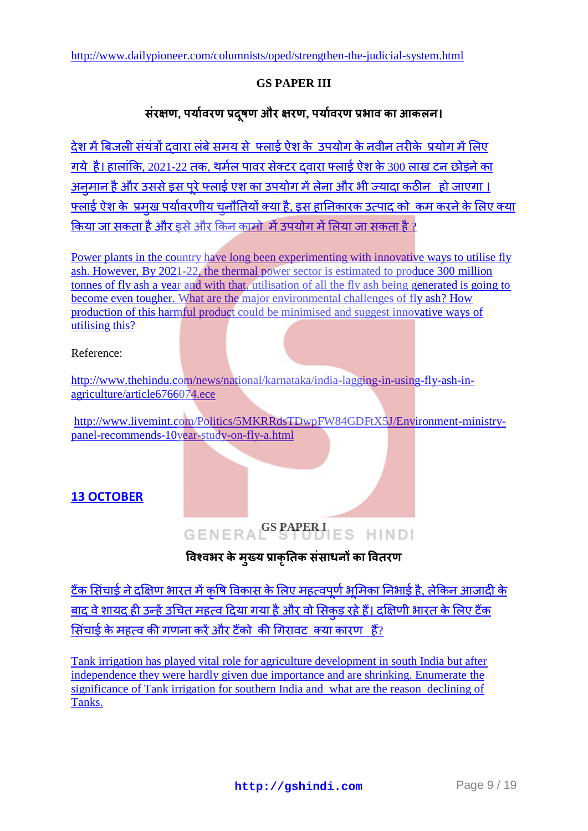#### **GS PAPER III**

#### संरक्षण, पर्यावरण प्रदुषण और क्षरण, पर्यावरण प्रभाव का आकलन।

देश में बिजली संयंत्रों दवारा लंबे समय से फ्लार्ड ऐश के उपयोग के नवीन तरीके प्रयोग में लिए गये है। हालांकि, 2021-22 तक, थर्मल पावर सेक्टर दवारा फ्लाई ऐश के 300 लाख टन छोड़ने का अनमान है और उससे इस परे फ्लाई एश का उपयोग में लेना और भी ज्यादा कठीन कहो जाएगा । <u>फ्लाई ऐश के प्रमख पर्यावरणीय चनौतियों क्या है. इस हानिकारक उत्पाद को कम करने के लिए क्या</u> किया जा सकता है और इसे और किन कामो में उपयोग में लिया जा सकता है ?

[Power plants in the country have long been experimenting with innovative ways to utilise fly](http://gshindi.com/category/gs-paper-3/fly-ash-and-ways-to-minimise-it)  [ash. However, By 2021-22, the thermal power sector is estimated to produce 300](http://gshindi.com/category/gs-paper-3/fly-ash-and-ways-to-minimise-it) million [tonnes of fly ash a year and with that, utilisation of all the fly ash being generated is going to](http://gshindi.com/category/gs-paper-3/fly-ash-and-ways-to-minimise-it)  become even tougher. [What are the major environmental challenges of fly ash? How](http://gshindi.com/category/gs-paper-3/fly-ash-and-ways-to-minimise-it)  [production of this harmful product could be minimised and suggest innovative ways of](http://gshindi.com/category/gs-paper-3/fly-ash-and-ways-to-minimise-it)  [utilising this?](http://gshindi.com/category/gs-paper-3/fly-ash-and-ways-to-minimise-it)

#### Reference:

[http://www.thehindu.com/news/national/karnataka/india-lagging-in-using-fly-ash-in](http://www.thehindu.com/news/national/karnataka/india-lagging-in-using-fly-ash-in-agriculture/article6766074.ece)[agriculture/article6766074.ece](http://www.thehindu.com/news/national/karnataka/india-lagging-in-using-fly-ash-in-agriculture/article6766074.ece)

[http://www.livemint.com/Politics/5MKRRdsTDwpFW84GDFtX5J/Environment-ministry](http://www.livemint.com/Politics/5MKRRdsTDwpFW84GDFtX5J/Environment-ministry-panel-recommends-10year-study-on-fly-a.html)[panel-recommends-10year-study-on-fly-a.html](http://www.livemint.com/Politics/5MKRRdsTDwpFW84GDFtX5J/Environment-ministry-panel-recommends-10year-study-on-fly-a.html)

#### **13 [OCTOBER](http://gshindi.com/node/1328)**

# **GENERA**<sup>GS</sup> PAPER I ES HINDI

#### विश्वभर के मुख्य प्राकृतिक संसाधनों का वितरण

<u>टैंक सिंचाई ने दक्षिण भारत में कषि विकास के लिए महत्वपर्ण भमिका निभाई है. लेकिन आजादी के </u> बाद वे शायद ही उन्हें उचित महत्व दिया गया है और वो सिकड रहे हैं। दक्षिणी भारत के लिए टैंक सिंचाई के महत्व की गणना करें और टैंको की गिरावट क्या कारण हैं?

[Tank irrigation has played vital role for agriculture development in south India but after](http://gshindi.com/category/gs-paper-1/tank-irrigation-system-in-india)  [independence they were hardly given due importance and are shrinking. Enumerate the](http://gshindi.com/category/gs-paper-1/tank-irrigation-system-in-india)  [significance of Tank irrigation for southern India and](http://gshindi.com/category/gs-paper-1/tank-irrigation-system-in-india) what are the reason declining of [Tanks.](http://gshindi.com/category/gs-paper-1/tank-irrigation-system-in-india)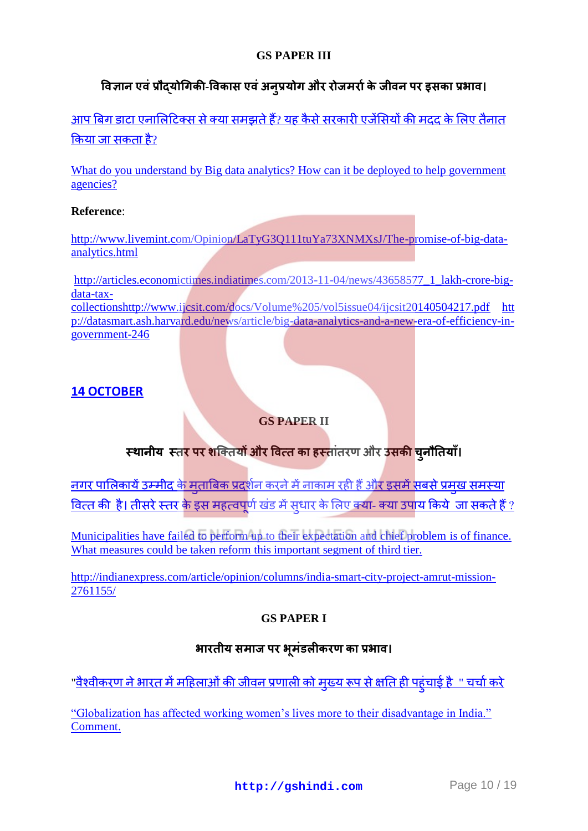#### **GS PAPER III**

## <u>विज्ञान एवं प्रौद्**योगिकी-विकास एवं अन्**प्रयोग और रोजमर्रा के जीवन पर इसका प्रभाव।</u>

आप बिग डाटा एनालिटिक्स से क्या समझते हैं? यह कैसे सरकारी एजेंसियों की मदद के लिए तैनात किया जा सकता है[?](http://gshindi.com/category/gs-paper-3/big-data-analytics-and-application)

What do you understand by Big data analytics? How can it be deployed to help government [agencies?](http://gshindi.com/category/gs-paper-3/big-data-analytics-and-application)

#### **Reference**:

[http://www.livemint.com/Opinion/LaTyG3Q111tuYa73XNMXsJ/The-promise-of-big-data](http://www.livemint.com/Opinion/LaTyG3Q111tuYa73XNMXsJ/The-promise-of-big-data-analytics.html)[analytics.html](http://www.livemint.com/Opinion/LaTyG3Q111tuYa73XNMXsJ/The-promise-of-big-data-analytics.html)

[http://articles.economictimes.indiatimes.com/2013-11-04/news/43658577\\_1\\_lakh-crore-big](http://articles.economictimes.indiatimes.com/2013-11-04/news/43658577_1_lakh-crore-big-data-tax-collectionshttp:/www.ijcsit.com/docs/Volume%205/vol5issue04/ijcsit20140504217.pdf)[data-tax](http://articles.economictimes.indiatimes.com/2013-11-04/news/43658577_1_lakh-crore-big-data-tax-collectionshttp:/www.ijcsit.com/docs/Volume%205/vol5issue04/ijcsit20140504217.pdf)[collectionshttp://www.ijcsit.com/docs/Volume%205/vol5issue04/ijcsit20140504217.pdf](http://articles.economictimes.indiatimes.com/2013-11-04/news/43658577_1_lakh-crore-big-data-tax-collectionshttp:/www.ijcsit.com/docs/Volume%205/vol5issue04/ijcsit20140504217.pdf) [htt](http://datasmart.ash.harvard.edu/news/article/big-data-analytics-and-a-new-era-of-efficiency-in-government-246) [p://datasmart.ash.harvard.edu/news/article/big-data-analytics-and-a-new-era-of-efficiency-in](http://datasmart.ash.harvard.edu/news/article/big-data-analytics-and-a-new-era-of-efficiency-in-government-246)[government-246](http://datasmart.ash.harvard.edu/news/article/big-data-analytics-and-a-new-era-of-efficiency-in-government-246)

#### **[14 OCTOBER](http://gshindi.com/node/1341)**

#### **GS PAPER II**

## <mark>स्थानीय *स्त<mark>र पर श</mark>क्तियों और वित्त का हस्तांतरण और उसकी* चुनौतियाँ।</mark>

<u>नगर पालिकायें उम्मीद के मताबिक प्रदर्शन करने में नाकाम रही हैं और इसमें सबसे प्रमख समस्या</u> वित्तकी है। तीसरे स्तर के इस महत्वपर्ण खंड में सधार के लिए क्या- क्या उपाय किये जा सकते हैं ?

[Municipalities have failed to perform up to their expectation and chief problem](http://gshindi.com/category/gs-paper-2/municipal-bodies-and-their-problems-of-finance) is of finance. [What measures could be taken reform this important segment of third tier.](http://gshindi.com/category/gs-paper-2/municipal-bodies-and-their-problems-of-finance)

[http://indianexpress.com/article/opinion/columns/india-smart-city-project-amrut-mission-](http://indianexpress.com/article/opinion/columns/india-smart-city-project-amrut-mission-2761155/)[2761155/](http://indianexpress.com/article/opinion/columns/india-smart-city-project-amrut-mission-2761155/)

#### **GS PAPER I**

#### <u>भारतीय समाज पर भूमंडलीकरण का प्रभाव।</u>

<u>"वैश्वीकरण ने भारत में महिलाओं की जीवन प्रणाली को मख्य रूप से क्षति ही पहंचाई है " चर्चा करे</u>

["Globalization has affected working women"s lives more to their disadvantage in India."](http://gshindi.com/category/gs-paper-1/globalisation-and-women-in-india)  [Comment.](http://gshindi.com/category/gs-paper-1/globalisation-and-women-in-india)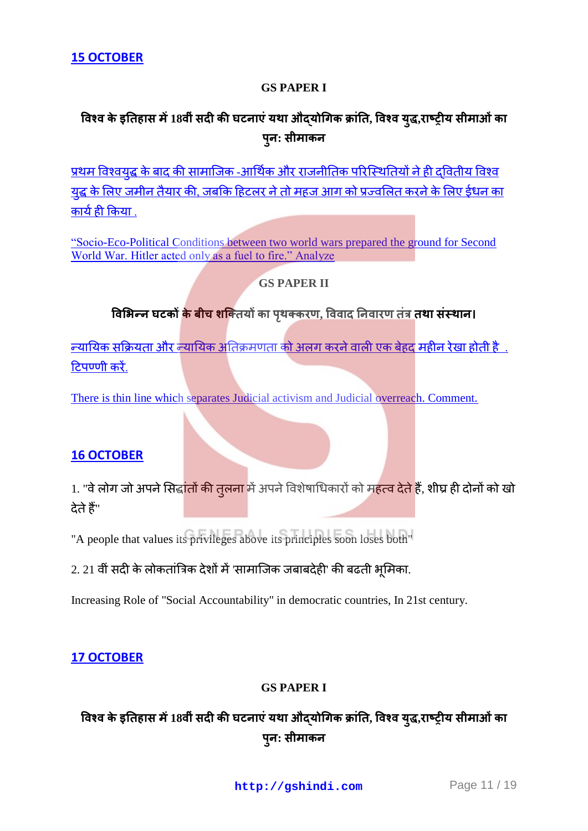#### **GS PAPER I**

## विश्व के इतिहास में 18वीं सदी की घटनाएं यथा औद्**योगिक क्रांति, विश्व युद्ध,राष्ट्रीय सीमाओं** का **प : स म**

प्रथम विश्वयद्ध के बाद की सामाजिक -आर्थिक और राजनीतिक परिस्थितियों ने ही दवितीय विश्व <u>यद्ध के लिए जमीन तैयार की, जबकि हिटलर ने तो महज आग को प्रज्वलित करने के लिए ईधन का</u> कार्यही किया.

["Socio-Eco-Political Conditions between two world wars prepared the ground for Second](http://gshindi.com/category/gs-paper-1/events-between-two-world-war-and-hitlar)  [World War. Hitler acted only as a fuel to fire." Analyze](http://gshindi.com/category/gs-paper-1/events-between-two-world-war-and-hitlar)

#### **GS PAPER II**

#### विभिन्न घटकों <mark>के बीच शक</mark>्तियों का पृथक्करण, विवाद निवारण तंत्र तथा संस्थान।

<u>न्यायिक सक्रियता और न्यायिक अतिक्रमणता को अलग करने वाली एक बेहद महीन रेखा होती है .</u> टिपण्णी करें.

[There is thin line which separates Judicial activism and Judicial overreach. Comment.](http://gshindi.com/category/gs-paper-2/judicial-activism-and-judicial-overreach)

#### **16 [OCTOBER](http://gshindi.com/node/1353)**

1. "वे लोग जो अपने सिद्<mark>धांतों की तुलना</mark> में अपने विशेषाधिकारों को महत्व देते हैं, शीघ्र ही दोनों को खो देते हैं"

"A people that values its privileges above its principles soon loses both"

 $2.21$  वीं सदी के लोकतांत्रिक देशों में 'सामाजिक जबाबदेही' की बढती भूमिका.

Increasing Role of "Social Accountability" in democratic countries, In 21st century.

#### **17 [OCTOBER](http://gshindi.com/node/1362)**

#### **GS PAPER I**

## विश्व के इतिहास में 18वीं सदी की घटनाएं यथा औदयोगिक क्रांति, विश्व युद्ध,राष्ट्रीय सीमाओं का **प : स म**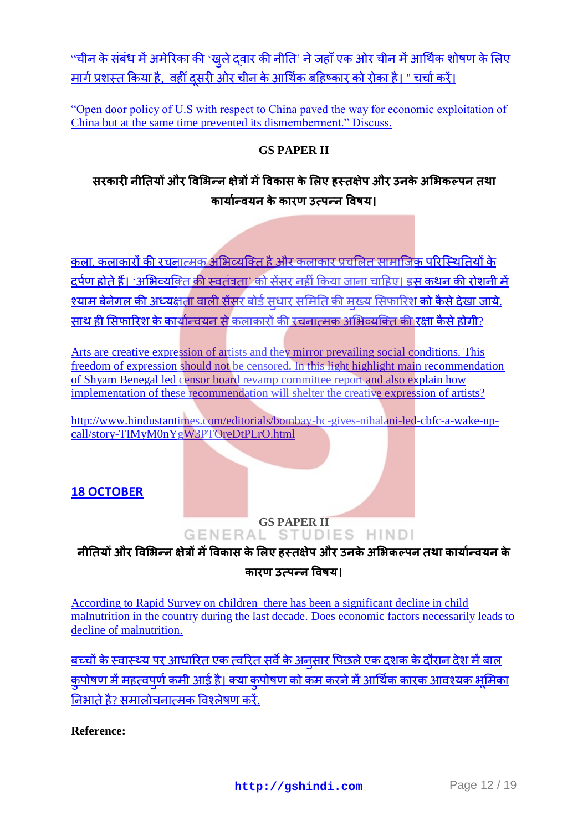<u>"चीनके संबंध में अमेरिका की 'खले दवार की नीति' ने जहाँ एक ओर चीन में आर्थिक शोषण के लिए</u> <u>मार्ग प्रशस्त किया है, वहीं दसरी ओर चीन के आर्थिक बहिष्कार को रोका है। " चर्चा करें।</u>

["Open door policy of U.S with respect to China paved the way for economic exploitation of](http://gshindi.com/category/gs-paper-1/open-door-policy-and-economic-exploitation)  [China but at the same time prevented its dismemberment." Discuss.](http://gshindi.com/category/gs-paper-1/open-door-policy-and-economic-exploitation)

#### **GS PAPER II**

## सरकारी नीतियों और विभिन्न क्षेत्रों में विकास के लिए हस्तक्षेप और उनके अभिकल्पन तथा <u>कार्यान्वयन के कारण उत्पन्न विषय।</u>

कला. कलाकारों की रचनात्मक अभिव्यक्ति है और कलाकार प्रचलित सामाजिक परिस्थितियों के दर्पणहोते हैं। 'अभिव्यक्ति की स्वतंत्रता' को सेंसर नहीं किया जाना चाहिए। इस कथन की रोशनी में श्याम बेनेगल की अध्यक्षता वाली सेंसर बोर्ड सधार समिति की मख्य सिफारिश <mark>को कैसे देखा जाये</mark>. साथ ही सिफारिश के कार्यान्वयन से कलाकारों की रचनात्मक अभिव्यक्ति की रक्षा कैसे होगी?

Arts are creative expression of artists and they mirror prevailing social conditions. This [freedom of expression should not be censored. In this light highlight main recommendation](http://gshindi.com/category/gs-paper-2/shyam-benegal-commitee-and-censor-board)  [of Shyam Benegal led censor board revamp committee](http://gshindi.com/category/gs-paper-2/shyam-benegal-commitee-and-censor-board) report and also explain how [implementation of these recommendation will shelter the creative expression of artists?](http://gshindi.com/category/gs-paper-2/shyam-benegal-commitee-and-censor-board)

[http://www.hindustantimes.com/editorials/bombay-hc-gives-nihalani-led-cbfc-a-wake-up](http://www.hindustantimes.com/editorials/bombay-hc-gives-nihalani-led-cbfc-a-wake-up-call/story-TIMyM0nYgW3PTOreDtPLrO.html)[call/story-TIMyM0nYgW3PTOreDtPLrO.html](http://www.hindustantimes.com/editorials/bombay-hc-gives-nihalani-led-cbfc-a-wake-up-call/story-TIMyM0nYgW3PTOreDtPLrO.html)

#### **18 [OCTOBER](http://gshindi.com/node/1375)**

# **GENERAL STUDIES HINDI**

### <u>नीतियों और विभिन्न क्षेत्रों में विकास के लिए हस्तक्षेप और उनके अभिकल्पन तथा कार्यान्वयन के </u> <u>कारण उत्पन्न विषय।</u>

According to Rapid Survey on children [there has been a significant decline in child](http://gshindi.com/category/gs-paper-2/child-malnutrition-and-rapid-survey)  [malnutrition in the country during the last decade.](http://gshindi.com/category/gs-paper-2/child-malnutrition-and-rapid-survey) Does economic factors necessarily leads to [decline of malnutrition.](http://gshindi.com/category/gs-paper-2/child-malnutrition-and-rapid-survey)

बच्चोंके स्वास्थ्य पर आधारित एक त्वरित सर्वे के अनसार पिछले एक दशक के दौरान देश में बाल कपोषण में महत्वपर्ण कमी आई है। क्या कपोषण को कम करने में आर्थिक कारक आवश्यक भमिका निभाते है? समालोचनात्मक विश्लेषण करें.

**Reference:**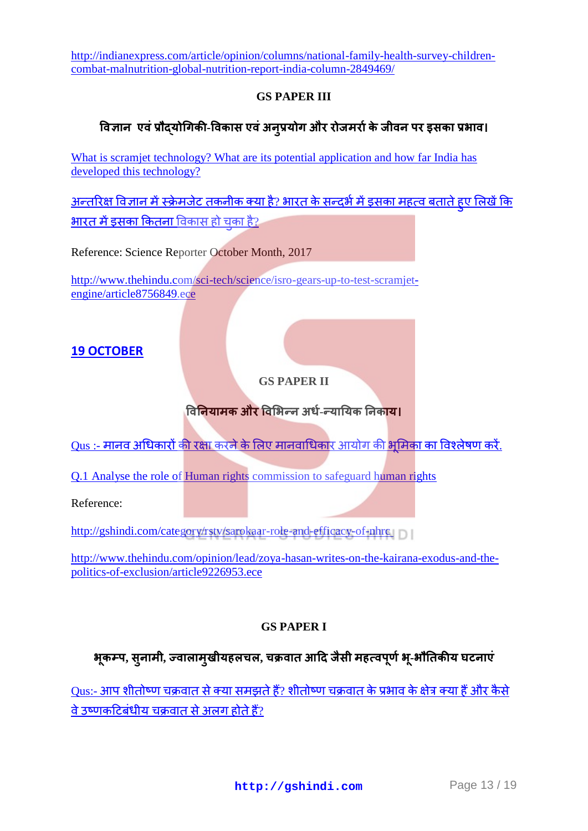[http://indianexpress.com/article/opinion/columns/national-family-health-survey-children](http://indianexpress.com/article/opinion/columns/national-family-health-survey-children-combat-malnutrition-global-nutrition-report-india-column-2849469/)[combat-malnutrition-global-nutrition-report-india-column-2849469/](http://indianexpress.com/article/opinion/columns/national-family-health-survey-children-combat-malnutrition-global-nutrition-report-india-column-2849469/)

#### **GS PAPER III**

#### <u>विज्ञान एवं प्रौदयोगिकी-विकास एवं अनूप्रयोग और रोजमर्रा के जीवन पर इसका प्रभाव।</u>

What is scramjet technology? What are its potential application and how far India has [developed this technology?](http://gshindi.com/category/gs-paper-3/scramjet-technology-its-application-and-importance)

<u>अन्तरिक्षविज्ञान में स्क्रेमजेट तकनीक क्या है? भारत के सन्दर्भ में इसका महत्व बताते हुए लिखें कि</u> **भारतमें डसका कितना** विकास हो चका है?

Reference: Science Reporter October Month, 2017

[http://www.thehindu.com/sci-tech/science/isro-gears-up-to-test-scramjet](http://www.thehindu.com/sci-tech/science/isro-gears-up-to-test-scramjet-engine/article8756849.ece)[engine/article8756849.ece](http://www.thehindu.com/sci-tech/science/isro-gears-up-to-test-scramjet-engine/article8756849.ece)

#### **19 [OCTOBER](http://gshindi.com/node/1384)**

#### **GS PAPER II**

#### **विनियामक और विभिन्न अर्ध-न्यायिक निकाय।**

<u>Qus :- मानव अधिकारों की रक्षा करने के लिए मानवाधिकार आयोग की भूमिका का विश्लेषण करें.</u>

[Q.1 Analyse the role of Human rights commission to safeguard human rights](http://gshindi.com/category/gs-paper-2/effectiveness-of-nhrc)

Reference:

<http://gshindi.com/category/rstv/sarokaar-role-and-efficacy-of-nhrc>

[http://www.thehindu.com/opinion/lead/zoya-hasan-writes-on-the-kairana-exodus-and-the](http://www.thehindu.com/opinion/lead/zoya-hasan-writes-on-the-kairana-exodus-and-the-politics-of-exclusion/article9226953.ece)[politics-of-exclusion/article9226953.ece](http://www.thehindu.com/opinion/lead/zoya-hasan-writes-on-the-kairana-exodus-and-the-politics-of-exclusion/article9226953.ece)

#### **GS PAPER I**

#### **भ प, स म , ऱ म य ऱचऱ, च स म प भ -भ य**

[Qus:-](http://gshindi.com/category/gs-paper-1/temperate-cyclone-their-geographic-area) आप शीतोष्ण चक्रवात से क्या समझते हैं? शीतोष्ण चक्रवात के प्रभाव के क्षेत्र क्या हैं और कैसे वे उष्णकटिबंधीय चक्रवात से अलग होते हैं?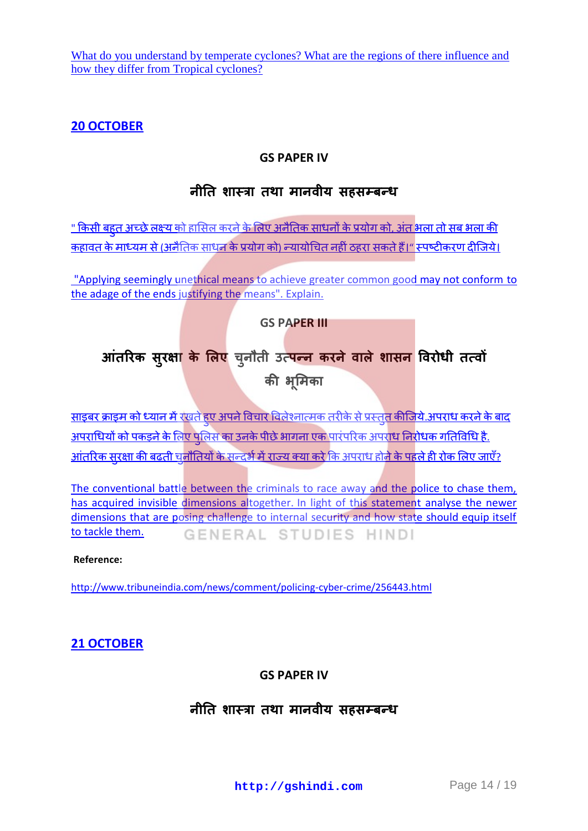What do you understand by temperate cyclones? What are the regions of there influence and [how they differ from Tropical cyclones?](http://gshindi.com/category/gs-paper-1/temperate-cyclone-their-geographic-area)

#### **20 [OCTOBER](http://gshindi.com/node/1395)**

#### **GS PAPER IV**

## नीति शास्त्रा तथा मानवीय सहसम्बन्ध

<u>" किसी बहत अच्छे लक्ष्य को हासिल करने के लिए अनैतिक साधनों के प्रयो[ग](file:///G:/category/gs-paper-4/does-end-justify-the-means) को, अंत भला तो सब भला की </u> कहावत के माध्यम से (अनैतिक साधन के प्रयोग को) न्यायोचित नहीं ठहरा सकते हैं।" स्पष्टीकरण दीजिये।

["Applying seemingly unethical means to achieve greater common good may not conform](file:///G:/category/gs-paper-4/does-end-justify-the-means) to [the adage of the ends justifying the means". Explain.](file:///G:/category/gs-paper-4/does-end-justify-the-means)

**GS PAPER III**

# आतरिक सुरक्षा के लिए चुनौती उत्पन्न करने वाले शासन विरो

की भूमिक

<u>साइबरक्राइम को ध्यान में रखते हुए अपने विचार विलेश्नात्मक तरीके से प्रस्तुत कीजिये.अपराध करने के बाद</u> <u>अपराधियों को पकड़ने के लिए पलिस का उनके पीछे भागना एक पारंपरिक अपराध निरोधक गतिविधि है.</u> <u>आंतरिकसुरक्षा की बढती चुनौतियों के सन्दर्भ में राज्य क्या करे कि अपराध होने के पहले ही रोक लिए जाएँ?</u>

The conventional battle between the criminals to race away and the police to chase them, [has acquired invisible dimensions altogether.](file:///G:/category/gs-paper-3/policing-cyber-crime) In light of this statement analyse the newer [dimensions that are posing challenge to internal security and how state should equip itself](file:///G:/category/gs-paper-3/policing-cyber-crime)  [to tackle them.](file:///G:/category/gs-paper-3/policing-cyber-crime)  GENERAL STUDIES HINDI

#### **Reference:**

<http://www.tribuneindia.com/news/comment/policing-cyber-crime/256443.html>

#### **21 [OCTOBER](http://gshindi.com/node/1404)**

**GS PAPER IV**

## <u>नीति शास्त्रा तथा मानवीय सहसम्बन्ध</u>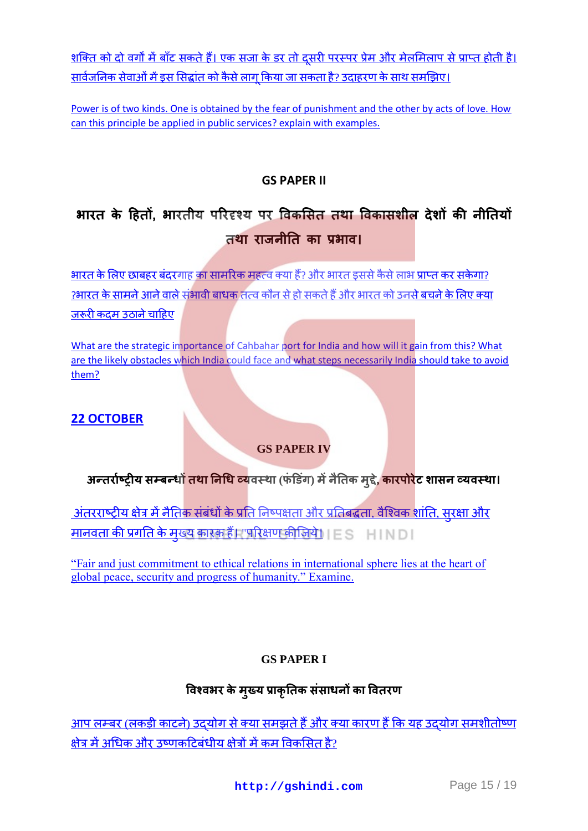<u>शक्ति को दो वर्गों में बाँट सकते हैं। एक सजा के डर तो दूसरी परस्पर प्रेम और मेलमिलाप से प्राप्त होती है।</u> <u>सार्वजनिक सेवाओं में इस सिद्धांत को कैसे लाग किया जा सकता है? उदाहरण के साथ समझिए।</u>

Power is of two kinds. One is obtained by the fear of punishment and the other by acts of love. How [can this principle be applied in public services? explain with examples.](file:///G:/category/gs-paper-4/power-in-public-services)

#### **GS PAPER II**

# भारत के हितों, भारतीय परिदृश्य पर विकसित तथा विकासशील देशों की नीतियों तथा राजनीति का प्रभाव।

<u>भारत के लिए छाबहर बंदरगाह का सामरिक महत्व क्या हैं? और भारत इससे कैसे लाभ प्राप्त कर सकेगा?</u> ?भारत के सामने आने वाले संभावी बाधक तत्व कौन से हो सकते हैं और भारत को उनसे बचने के लिए क्या जरूरीकदम उठाने चाहिए

[What are the strategic importance of Cahbahar port for India and how will it gain from this? What](file:///G:/category/gs-paper-2/strategic-importance-of-chbahar-port)  are the [likely obstacles which India could face and what steps necessarily India should take to avoid](file:///G:/category/gs-paper-2/strategic-importance-of-chbahar-port)  [them?](file:///G:/category/gs-paper-2/strategic-importance-of-chbahar-port)

#### **22 [OCTOBER](http://gshindi.com/node/1416)**

## **GS PAPER IV**

## **अन्तर्राष्ट्रीय सम्बन्धों <mark>तथा निधि</mark> व्य</mark>वस्था (फंडिंग) में नैतिक मूद्दे, <mark>कारपोरे</mark>ट शासन व्यवस्था।**

<u>अंतरराष्ट्रीय क्षेत्र में नैतिक संबंधों के प्रति निष्पक्षता और प्रतिबद्धता. वैश्विक शांति. सुरक्षा और</u> <u>मानवता की प्रगति के मुख्य कारक हैं। "परिक्षण कीजिये। ESTEINDI</u>

["Fair and just commitment to ethical relations in international sphere lies at the heart of](http://gshindi.com/category/gs-paper-4/ethics-and-international-diplomacy)  [global peace, security and progress of humanity." Examine.](http://gshindi.com/category/gs-paper-4/ethics-and-international-diplomacy)

#### **GS PAPER I**

## विश्वभर के मुख्य प्राकृतिक संसाधनों का वितरण

<u>आप लम्बर (लकड़ी काटने) उदयोग से क्या समझते हैं और क्या</u> कारण हैं कि यह उदयोग समशीतोष्ण क्षेत्र में अधिक और उष्णकटिबंधीय क्षेत्रों में कम विकसित है?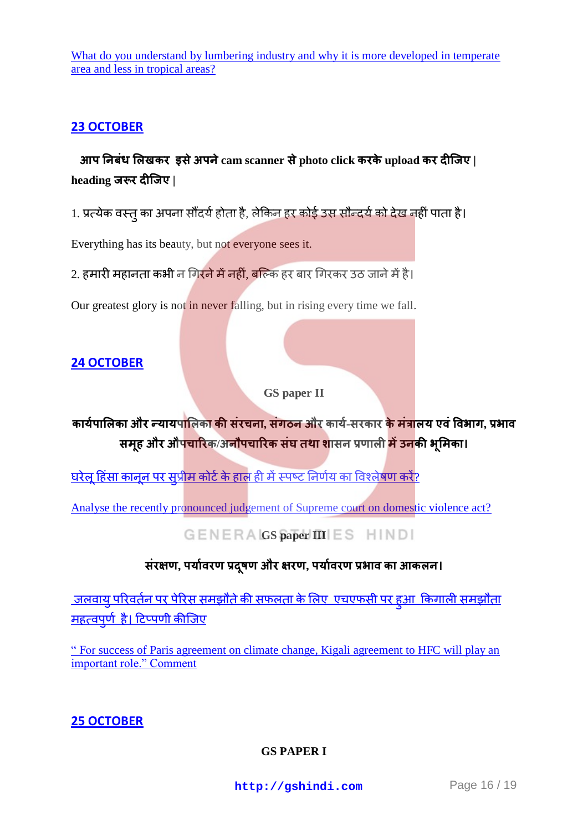What do you understand by lumbering industry and why it is more developed in temperate [area and less in tropical areas?](http://gshindi.com/category/gs-paper-1/lumbering-industry-and-geographical-area)

#### **23 [OCTOBER](http://gshindi.com/node/1419)**

 **प ब ऱ र इस प cam scanner स photo click र upload र | heading जरूर दीजिए।** 

1. प्रत्येक वस्त का अपना सौंदर्य होता है, लेकिन हर कोई उस सौन्दर्य को देख नहीं पाता है।

Everything has its beauty, but not everyone sees it.

2. हमारी महानता कभी न गिरने में नहीं, बल्कि हर बार गिरकर उठ जाने में है।

Our greatest glory is not in never falling, but in rising every time we fall.

#### **24 [OCTOBER](http://gshindi.com/node/1432)**

**GS paper II**

**कार्यपालिका और न्यायपालिका की संरचना, संगठन और कार्य-सरकार <mark>के मंत्रा</mark>लय एवं विभाग, प्रभाव समूह और औपचारिक/अनौपचारिक संघ तथा शा**सन प्रणाली <mark>में उन</mark>की भूमिका।

<u>घरेलहिंसा कानन पर सप्रीम कोर्ट के हाल ही में स्पष्ट निर्णय का विश्लेषण करें?</u>

[Analyse the recently pronounced judgement of Supreme court on domestic violence act?](http://gshindi.com/category/gs-paper-2/judgement-of-removed-word-adult-male-from-domestic-violence-act)

#### **GENERA GS paper III** ES HINDI

#### संरक्षण, पर्यावरण प्रदुषण और क्षरण, पर्यावरण प्रभाव का आकलन।

<u>जलवाय परिवर्तन पर पेरिस समझौते की सफलता के लिए एचएफसी पर हुआ किगाली समझौता</u> महत्वपर्णहै। टिप्पणी कीजिए

" For [success of Paris agreement on climate change, Kigali agreement to HFC will play an](http://gshindi.com/category/gs-paper-3/relation-between-kigali-and-paris-summit)  [important role." Comment](http://gshindi.com/category/gs-paper-3/relation-between-kigali-and-paris-summit)

#### **25 [OCTOBER](http://gshindi.com/category/mains-answer-writing/25-oct-mains-answer-writing)**

**[GS PAPER I](http://gshindi.com/category/gs-paper-1/american-war-of-independence-and-india)**

**<http://gshindi.com>** Page 16 / 19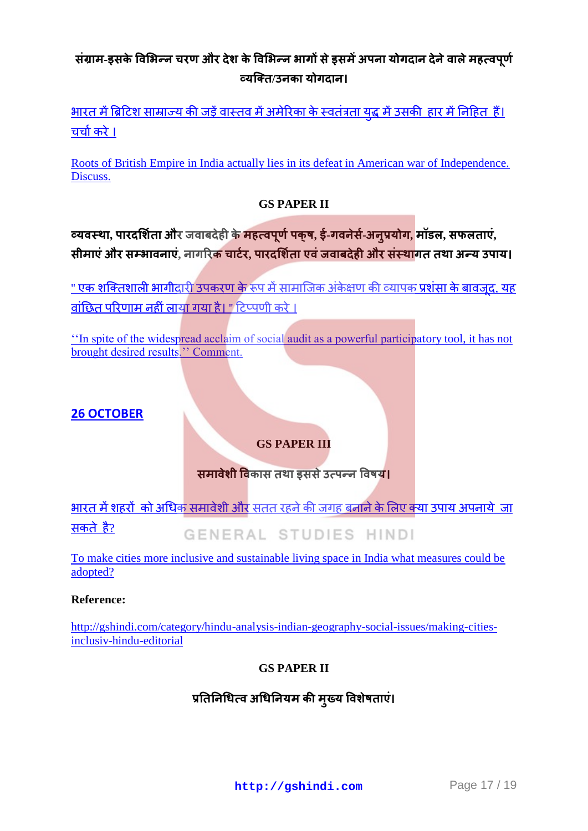## संग्राम-इसके विभिन्न चरण और देश के विभिन्न भागों से इसमें अपना योगदान देने वाले महत्वपूर्ण  **य / [य](http://gshindi.com/category/gs-paper-1/american-war-of-independence-and-india)**

<u>भारतमें ब्रिटिश साम्राज्य की जड़ें वास्तव में अमेरिका के स्वतंत्रता यद्ध में उसकी हार में नि</u>हित हैं। चर्चाकरे।

[Roots of British Empire in India actually lies in its defeat in American war of Independence.](http://gshindi.com/category/gs-paper-1/american-war-of-independence-and-india)  [Discuss.](http://gshindi.com/category/gs-paper-1/american-war-of-independence-and-india)

#### **GS PAPER II**

 **य , प र और ब म प प , इ - स - य , म ऱ, सफऱ ,**  सीमाएं और सम्भावनाएं, नागरिक चार्टर, पारदर्शिता एवं जवाबदेही और संस्थागत तथा अन्य उपाय।

<u>" एक शक्तिशाली भागीदारी उपकरण के रूप में सामाजिक अंकेक्षण की व्यापक प्रशंसा के बावजद, यह</u> वांछित परिणाम नहीं लाया गया है। " टिप्पणी करे ।

"In spite of the widespread acclaim of social audit as a powerful participatory tool, it has not brought desired results." Comment.

#### **26 [OCTOBER](http://gshindi.com/category/mains-answer-writing/25-october-mains-answer-writing)**

#### **GS PAPER III**

#### **समावेशी विकास तथा इससे उत्पन्न विषय।**

भारत में शहरों को अधिक समावेशी और सतत रहने की जगह बनाने के लिए क्या उपाय अपनाये जा सकतेहै? GENERAL STUDIES HINDI

[To make cities more inclusive and sustainable living space in India what measures could be](http://gshindi.com/category/gs-paper-3/cities-as-sustainable-living-space)  [adopted?](http://gshindi.com/category/gs-paper-3/cities-as-sustainable-living-space)

#### **Reference:**

[http://gshindi.com/category/hindu-analysis-indian-geography-social-issues/making-cities](http://gshindi.com/category/hindu-analysis-indian-geography-social-issues/making-cities-inclusiv-hindu-editorial)[inclusiv-hindu-editorial](http://gshindi.com/category/hindu-analysis-indian-geography-social-issues/making-cities-inclusiv-hindu-editorial)

#### **GS PAPER II**

## प्रतिनिधित्व अधिनियम की मुख्य विशेषताएं।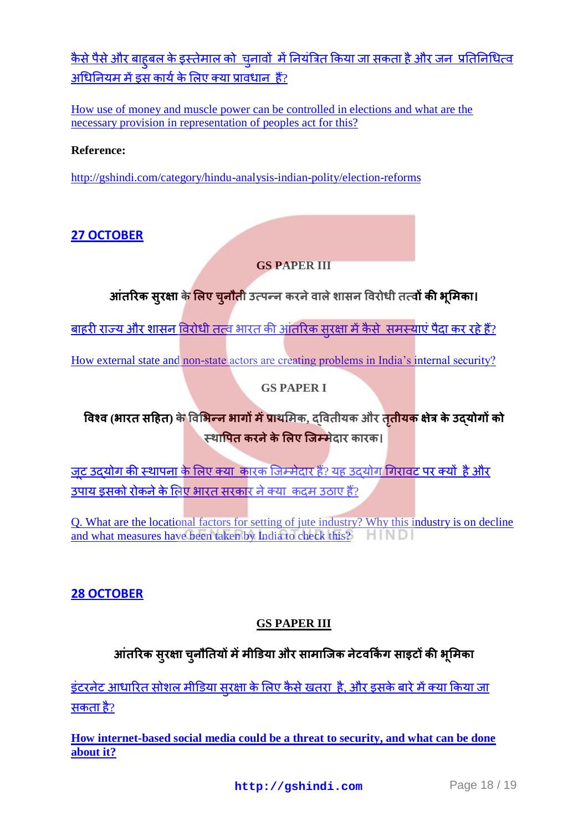<u>कैसे पैसे और बाहबल के इस्तेमाल को चनावों में नियंत्रित किया जा सकता है और जन प्रतिनिधित्व</u> अधिनियममें इस कार्य के लिए क्या प्रावधान हैं?

[How use of money and muscle power can be controlled in elections and what are the](http://gshindi.com/category/gs-paper-2/use-of-money-and-muscle-and-representation-of-peoples-act)  [necessary provision in representation of peoples act for this?](http://gshindi.com/category/gs-paper-2/use-of-money-and-muscle-and-representation-of-peoples-act)

#### **Reference:**

<http://gshindi.com/category/hindu-analysis-indian-polity/election-reforms>

## **27 [OCTOBER](http://gshindi.com/category/mains-answer-writing/27-oct-mains-answer-writing)**

#### **GS PAPER III**

## आंतरिक सुरक्षा के लिए चूनौती उत्पन्न करने वाले शासन विरोधी तत्वों <mark>की भूमिका।</mark>

<u>बाहरी राज्य और शासन विरोधी तत्व भारत की आंतरिक सरक्षा में कैसे समस्याएं पैदा कर रहे हैं?</u>

How external state and non-state actors are creating problems in India's internal security?

#### **GS PAPER I**

## **विश्व (भारत सहित) के विभिन्न भागों में प्राथमिक, दवितीयक और <mark>तृतीयक</mark> क्षेत्र के उदयोगों को** स्थापित करने के लिए जिम्मेदार कारक।

जट उदयोग की स्थापना के लिए क्या कारक जिम्मेदार हैं? यह उदयोग गिरावट पर क्यों है और उपायडसको रोकने के लिए भारत सरकार ने क्या कदम उठाए हैं?

[Q. What are the locational factors for setting of jute industry? Why this industry is on decline](http://gshindi.com/category/gs-paper-1/jute-industry-and-causes-of-decline)  [and what measures have been taken by India to check this?](http://gshindi.com/category/gs-paper-1/jute-industry-and-causes-of-decline)

#### **[28 OCTOBER](http://gshindi.com/category/mains-answer-writing/28-oct-mains-answer-writing)**

#### **GS PAPER III**

## आंतरिक सुरक्षा चूनौतियों में मीडिया और सामाजिक नेटवर्किंग साइटों की **भूमिका**

इंटरनेट आधारित सोशल मीडिया सरक्षा के लिए कैसे खतरा है. और इसके बारे में क्या किया जा सकताहै?

**[How internet-based social media could be a threat to security, and what can be done](http://gshindi.com/category/gs-paper-2/social-media-and-threat-to-national-security)  [about it?](http://gshindi.com/category/gs-paper-2/social-media-and-threat-to-national-security)**